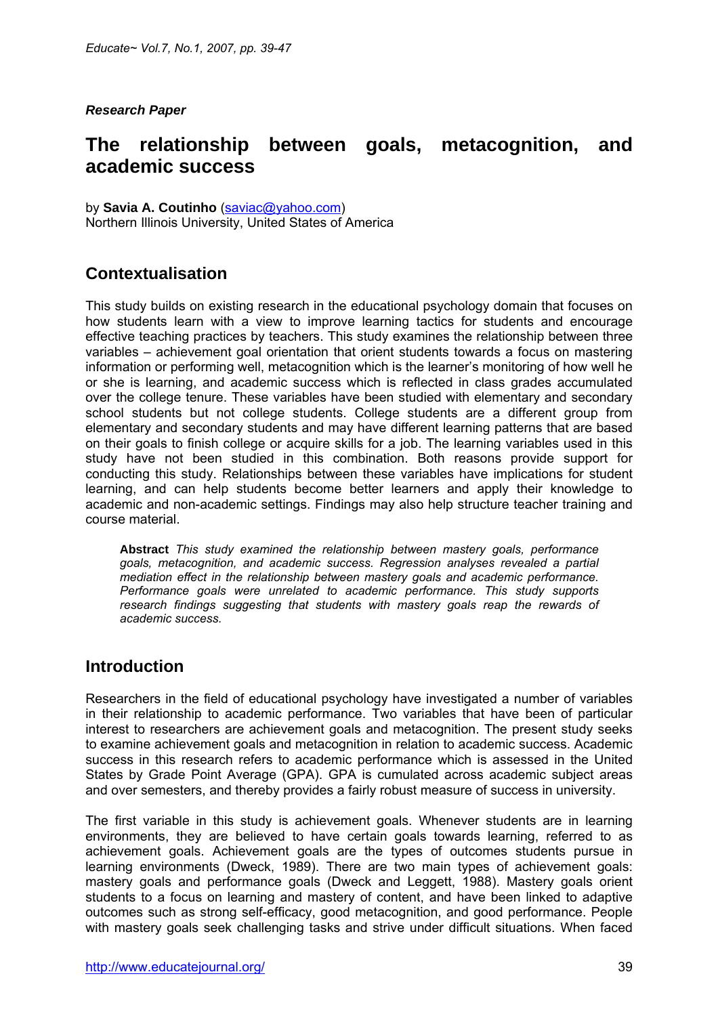#### *Research Paper*

# **The relationship between goals, metacognition, and academic success**

by **Savia A. Coutinho** [\(saviac@yahoo.com\)](mailto:saviac@yahoo.com) Northern Illinois University, United States of America

## **Contextualisation**

This study builds on existing research in the educational psychology domain that focuses on how students learn with a view to improve learning tactics for students and encourage effective teaching practices by teachers. This study examines the relationship between three variables – achievement goal orientation that orient students towards a focus on mastering information or performing well, metacognition which is the learner's monitoring of how well he or she is learning, and academic success which is reflected in class grades accumulated over the college tenure. These variables have been studied with elementary and secondary school students but not college students. College students are a different group from elementary and secondary students and may have different learning patterns that are based on their goals to finish college or acquire skills for a job. The learning variables used in this study have not been studied in this combination. Both reasons provide support for conducting this study. Relationships between these variables have implications for student learning, and can help students become better learners and apply their knowledge to academic and non-academic settings. Findings may also help structure teacher training and course material.

**Abstract** *This study examined the relationship between mastery goals, performance goals, metacognition, and academic success. Regression analyses revealed a partial mediation effect in the relationship between mastery goals and academic performance. Performance goals were unrelated to academic performance. This study supports*  research findings suggesting that students with mastery goals reap the rewards of *academic success.* 

### **Introduction**

Researchers in the field of educational psychology have investigated a number of variables in their relationship to academic performance. Two variables that have been of particular interest to researchers are achievement goals and metacognition. The present study seeks to examine achievement goals and metacognition in relation to academic success. Academic success in this research refers to academic performance which is assessed in the United States by Grade Point Average (GPA). GPA is cumulated across academic subject areas and over semesters, and thereby provides a fairly robust measure of success in university.

The first variable in this study is achievement goals. Whenever students are in learning environments, they are believed to have certain goals towards learning, referred to as achievement goals. Achievement goals are the types of outcomes students pursue in learning environments (Dweck, 1989). There are two main types of achievement goals: mastery goals and performance goals (Dweck and Leggett, 1988). Mastery goals orient students to a focus on learning and mastery of content, and have been linked to adaptive outcomes such as strong self-efficacy, good metacognition, and good performance. People with mastery goals seek challenging tasks and strive under difficult situations. When faced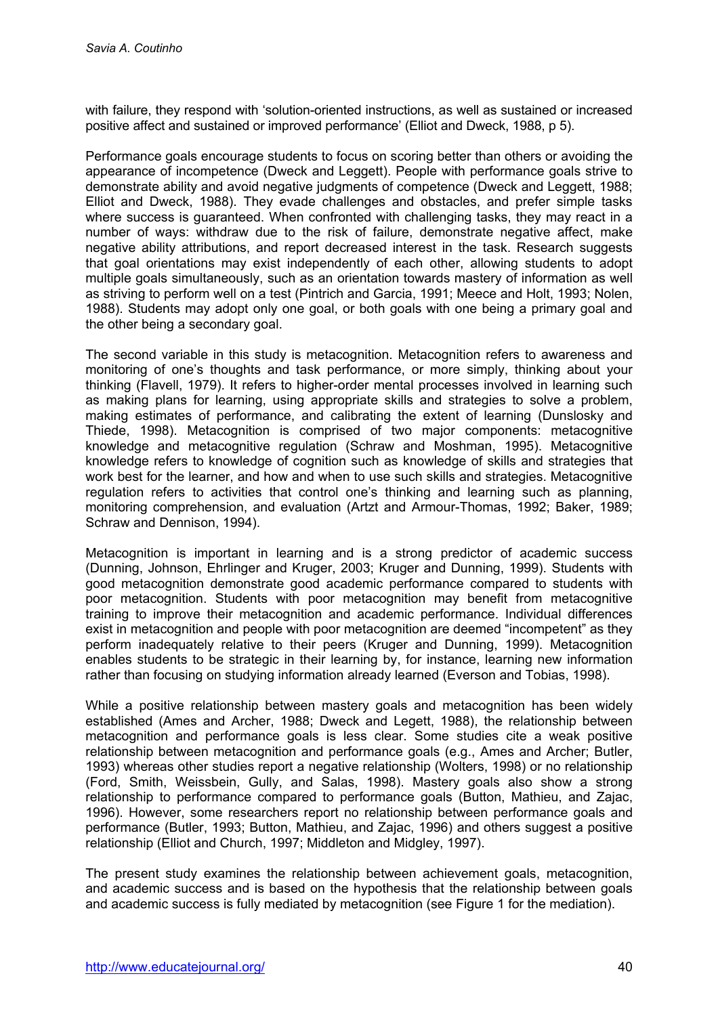with failure, they respond with 'solution-oriented instructions, as well as sustained or increased positive affect and sustained or improved performance' (Elliot and Dweck, 1988, p 5).

Performance goals encourage students to focus on scoring better than others or avoiding the appearance of incompetence (Dweck and Leggett). People with performance goals strive to demonstrate ability and avoid negative judgments of competence (Dweck and Leggett, 1988; Elliot and Dweck, 1988). They evade challenges and obstacles, and prefer simple tasks where success is guaranteed. When confronted with challenging tasks, they may react in a number of ways: withdraw due to the risk of failure, demonstrate negative affect, make negative ability attributions, and report decreased interest in the task. Research suggests that goal orientations may exist independently of each other, allowing students to adopt multiple goals simultaneously, such as an orientation towards mastery of information as well as striving to perform well on a test (Pintrich and Garcia, 1991; Meece and Holt, 1993; Nolen, 1988). Students may adopt only one goal, or both goals with one being a primary goal and the other being a secondary goal.

The second variable in this study is metacognition. Metacognition refers to awareness and monitoring of one's thoughts and task performance, or more simply, thinking about your thinking (Flavell, 1979). It refers to higher-order mental processes involved in learning such as making plans for learning, using appropriate skills and strategies to solve a problem, making estimates of performance, and calibrating the extent of learning (Dunslosky and Thiede, 1998). Metacognition is comprised of two major components: metacognitive knowledge and metacognitive regulation (Schraw and Moshman, 1995). Metacognitive knowledge refers to knowledge of cognition such as knowledge of skills and strategies that work best for the learner, and how and when to use such skills and strategies. Metacognitive regulation refers to activities that control one's thinking and learning such as planning, monitoring comprehension, and evaluation (Artzt and Armour-Thomas, 1992; Baker, 1989; Schraw and Dennison, 1994).

Metacognition is important in learning and is a strong predictor of academic success (Dunning, Johnson, Ehrlinger and Kruger, 2003; Kruger and Dunning, 1999). Students with good metacognition demonstrate good academic performance compared to students with poor metacognition. Students with poor metacognition may benefit from metacognitive training to improve their metacognition and academic performance. Individual differences exist in metacognition and people with poor metacognition are deemed "incompetent" as they perform inadequately relative to their peers (Kruger and Dunning, 1999). Metacognition enables students to be strategic in their learning by, for instance, learning new information rather than focusing on studying information already learned (Everson and Tobias, 1998).

While a positive relationship between mastery goals and metacognition has been widely established (Ames and Archer, 1988; Dweck and Legett, 1988), the relationship between metacognition and performance goals is less clear. Some studies cite a weak positive relationship between metacognition and performance goals (e.g., Ames and Archer; Butler, 1993) whereas other studies report a negative relationship (Wolters, 1998) or no relationship (Ford, Smith, Weissbein, Gully, and Salas, 1998). Mastery goals also show a strong relationship to performance compared to performance goals (Button, Mathieu, and Zajac, 1996). However, some researchers report no relationship between performance goals and performance (Butler, 1993; Button, Mathieu, and Zajac, 1996) and others suggest a positive relationship (Elliot and Church, 1997; Middleton and Midgley, 1997).

The present study examines the relationship between achievement goals, metacognition, and academic success and is based on the hypothesis that the relationship between goals and academic success is fully mediated by metacognition (see Figure 1 for the mediation).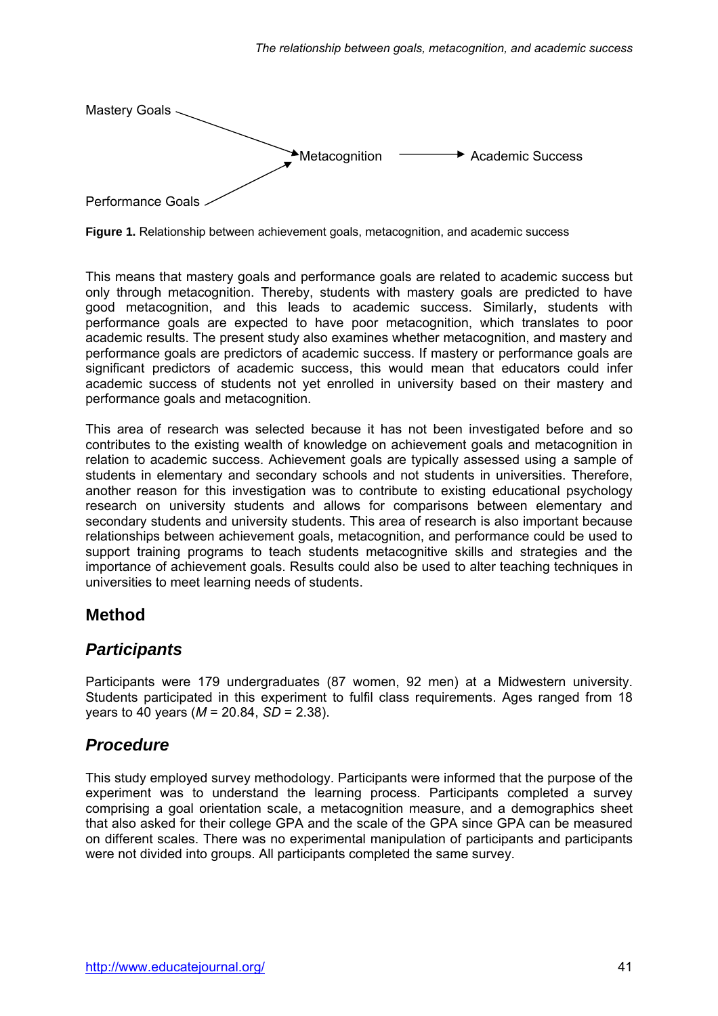

**Figure 1.** Relationship between achievement goals, metacognition, and academic success

This means that mastery goals and performance goals are related to academic success but only through metacognition. Thereby, students with mastery goals are predicted to have good metacognition, and this leads to academic success. Similarly, students with performance goals are expected to have poor metacognition, which translates to poor academic results. The present study also examines whether metacognition, and mastery and performance goals are predictors of academic success. If mastery or performance goals are significant predictors of academic success, this would mean that educators could infer academic success of students not yet enrolled in university based on their mastery and performance goals and metacognition.

This area of research was selected because it has not been investigated before and so contributes to the existing wealth of knowledge on achievement goals and metacognition in relation to academic success. Achievement goals are typically assessed using a sample of students in elementary and secondary schools and not students in universities. Therefore, another reason for this investigation was to contribute to existing educational psychology research on university students and allows for comparisons between elementary and secondary students and university students. This area of research is also important because relationships between achievement goals, metacognition, and performance could be used to support training programs to teach students metacognitive skills and strategies and the importance of achievement goals. Results could also be used to alter teaching techniques in universities to meet learning needs of students.

#### **Method**

### *Participants*

Participants were 179 undergraduates (87 women, 92 men) at a Midwestern university. Students participated in this experiment to fulfil class requirements. Ages ranged from 18 years to 40 years (*M* = 20.84, *SD* = 2.38).

## *Procedure*

This study employed survey methodology. Participants were informed that the purpose of the experiment was to understand the learning process. Participants completed a survey comprising a goal orientation scale, a metacognition measure, and a demographics sheet that also asked for their college GPA and the scale of the GPA since GPA can be measured on different scales. There was no experimental manipulation of participants and participants were not divided into groups. All participants completed the same survey.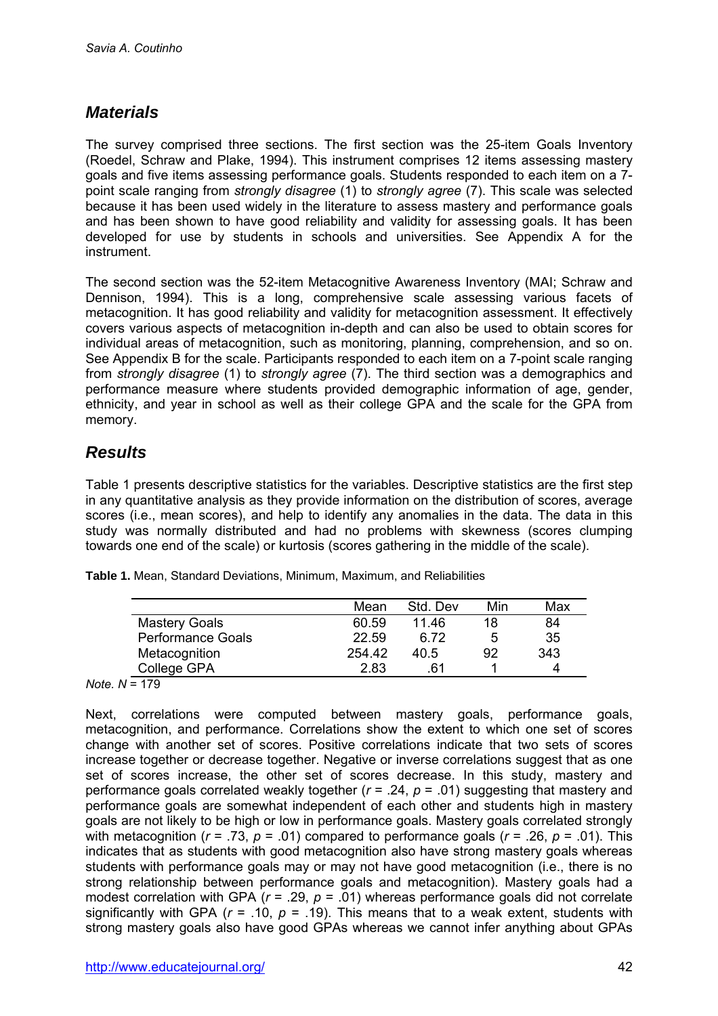## *Materials*

The survey comprised three sections. The first section was the 25-item Goals Inventory (Roedel, Schraw and Plake, 1994). This instrument comprises 12 items assessing mastery goals and five items assessing performance goals. Students responded to each item on a 7 point scale ranging from *strongly disagree* (1) to *strongly agree* (7). This scale was selected because it has been used widely in the literature to assess mastery and performance goals and has been shown to have good reliability and validity for assessing goals. It has been developed for use by students in schools and universities. See Appendix A for the instrument.

The second section was the 52-item Metacognitive Awareness Inventory (MAI; Schraw and Dennison, 1994). This is a long, comprehensive scale assessing various facets of metacognition. It has good reliability and validity for metacognition assessment. It effectively covers various aspects of metacognition in-depth and can also be used to obtain scores for individual areas of metacognition, such as monitoring, planning, comprehension, and so on. See Appendix B for the scale. Participants responded to each item on a 7-point scale ranging from *strongly disagree* (1) to *strongly agree* (7). The third section was a demographics and performance measure where students provided demographic information of age, gender, ethnicity, and year in school as well as their college GPA and the scale for the GPA from memory.

# *Results*

Table 1 presents descriptive statistics for the variables. Descriptive statistics are the first step in any quantitative analysis as they provide information on the distribution of scores, average scores (i.e., mean scores), and help to identify any anomalies in the data. The data in this study was normally distributed and had no problems with skewness (scores clumping towards one end of the scale) or kurtosis (scores gathering in the middle of the scale).

|                          | Mean   | Std. Dev | Min | Max |
|--------------------------|--------|----------|-----|-----|
| <b>Mastery Goals</b>     | 60.59  | 11 46    | 18  | 84  |
| <b>Performance Goals</b> | 22.59  | ჩ 72     | 5   | 35  |
| Metacognition            | 254.42 | 40.5     | 92  | 343 |
| College GPA              | 2.83   | 61       |     |     |

**Table 1.** Mean, Standard Deviations, Minimum, Maximum, and Reliabilities

*Note. N* = 179

Next, correlations were computed between mastery goals, performance goals, metacognition, and performance. Correlations show the extent to which one set of scores change with another set of scores. Positive correlations indicate that two sets of scores increase together or decrease together. Negative or inverse correlations suggest that as one set of scores increase, the other set of scores decrease. In this study, mastery and performance goals correlated weakly together (*r* = .24, *p* = .01) suggesting that mastery and performance goals are somewhat independent of each other and students high in mastery goals are not likely to be high or low in performance goals. Mastery goals correlated strongly with metacognition (*r* = .73, *p* = .01) compared to performance goals (*r* = .26, *p* = .01). This indicates that as students with good metacognition also have strong mastery goals whereas students with performance goals may or may not have good metacognition (i.e., there is no strong relationship between performance goals and metacognition). Mastery goals had a modest correlation with GPA (*r* = .29, *p* = .01) whereas performance goals did not correlate significantly with GPA  $(r = .10, p = .19)$ . This means that to a weak extent, students with strong mastery goals also have good GPAs whereas we cannot infer anything about GPAs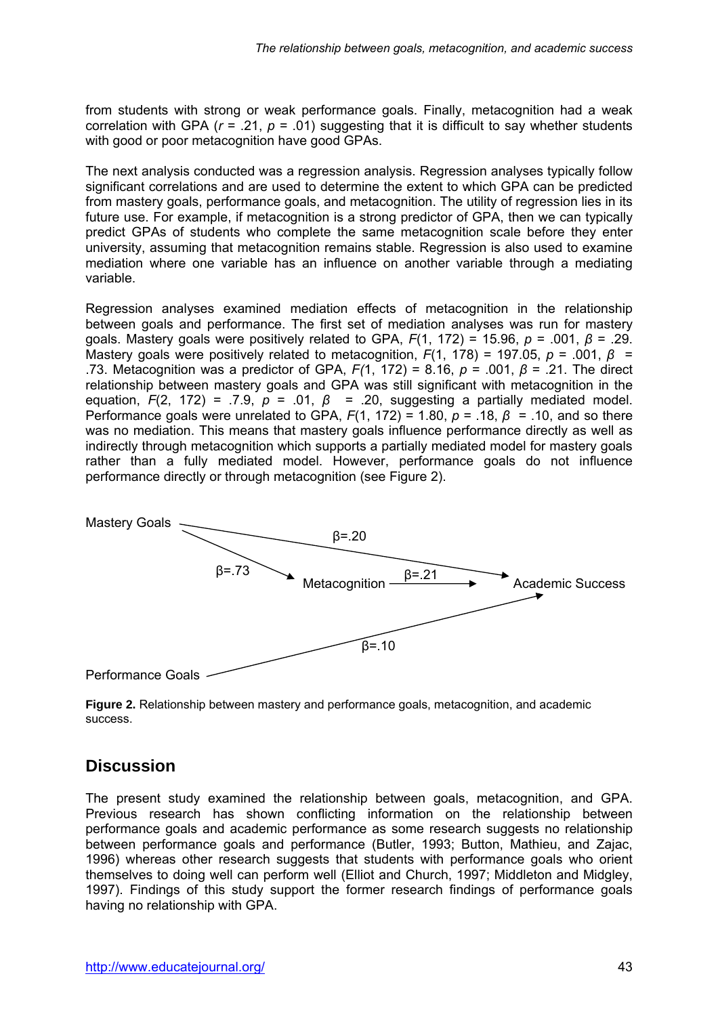from students with strong or weak performance goals. Finally, metacognition had a weak correlation with GPA ( $r = .21$ ,  $p = .01$ ) suggesting that it is difficult to say whether students with good or poor metacognition have good GPAs.

The next analysis conducted was a regression analysis. Regression analyses typically follow significant correlations and are used to determine the extent to which GPA can be predicted from mastery goals, performance goals, and metacognition. The utility of regression lies in its future use. For example, if metacognition is a strong predictor of GPA, then we can typically predict GPAs of students who complete the same metacognition scale before they enter university, assuming that metacognition remains stable. Regression is also used to examine mediation where one variable has an influence on another variable through a mediating variable.

Regression analyses examined mediation effects of metacognition in the relationship between goals and performance. The first set of mediation analyses was run for mastery goals. Mastery goals were positively related to GPA, *F*(1, 172) = 15.96, *p* = .001, *β* = .29. Mastery goals were positively related to metacognition,  $F(1, 178) = 197.05$ ,  $p = .001$ ,  $\beta =$ .73. Metacognition was a predictor of GPA, *F(*1, 172) = 8.16, *p* = .001, *β* = .21. The direct relationship between mastery goals and GPA was still significant with metacognition in the equation,  $F(2, 172) = .7.9$ ,  $p = .01$ ,  $\beta = .20$ , suggesting a partially mediated model. Performance goals were unrelated to GPA,  $F(1, 172) = 1.80$ ,  $p = .18$ ,  $\beta = .10$ , and so there was no mediation. This means that mastery goals influence performance directly as well as indirectly through metacognition which supports a partially mediated model for mastery goals rather than a fully mediated model. However, performance goals do not influence performance directly or through metacognition (see Figure 2).



**Figure 2.** Relationship between mastery and performance goals, metacognition, and academic success.

### **Discussion**

The present study examined the relationship between goals, metacognition, and GPA. Previous research has shown conflicting information on the relationship between performance goals and academic performance as some research suggests no relationship between performance goals and performance (Butler, 1993; Button, Mathieu, and Zajac, 1996) whereas other research suggests that students with performance goals who orient themselves to doing well can perform well (Elliot and Church, 1997; Middleton and Midgley, 1997). Findings of this study support the former research findings of performance goals having no relationship with GPA.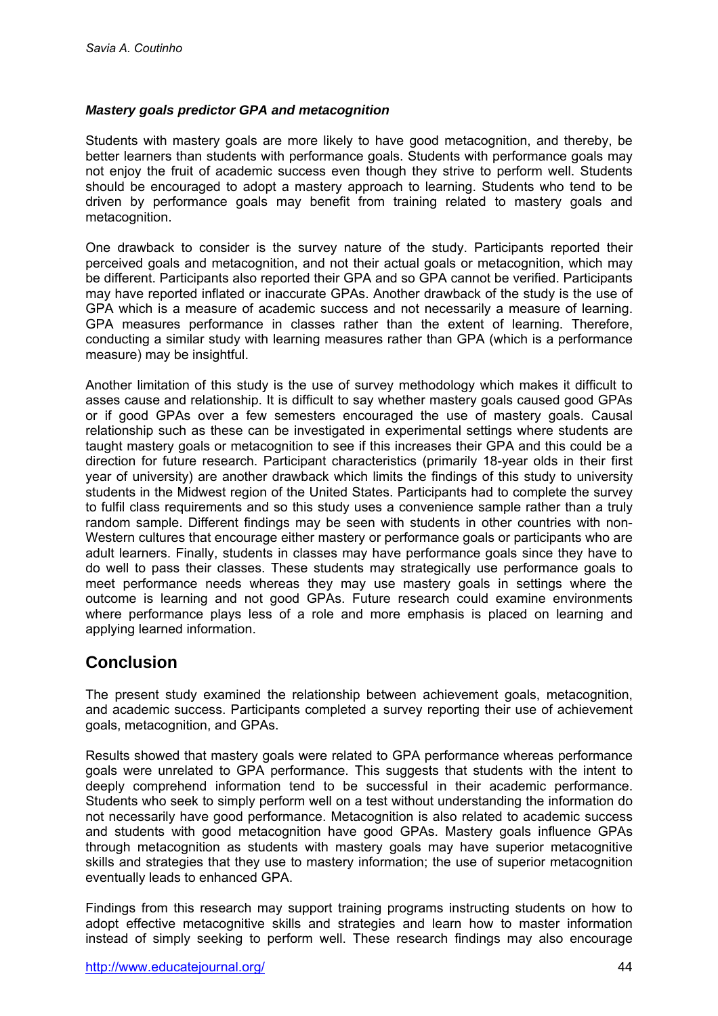#### *Mastery goals predictor GPA and metacognition*

Students with mastery goals are more likely to have good metacognition, and thereby, be better learners than students with performance goals. Students with performance goals may not enjoy the fruit of academic success even though they strive to perform well. Students should be encouraged to adopt a mastery approach to learning. Students who tend to be driven by performance goals may benefit from training related to mastery goals and metacognition.

One drawback to consider is the survey nature of the study. Participants reported their perceived goals and metacognition, and not their actual goals or metacognition, which may be different. Participants also reported their GPA and so GPA cannot be verified. Participants may have reported inflated or inaccurate GPAs. Another drawback of the study is the use of GPA which is a measure of academic success and not necessarily a measure of learning. GPA measures performance in classes rather than the extent of learning. Therefore, conducting a similar study with learning measures rather than GPA (which is a performance measure) may be insightful.

Another limitation of this study is the use of survey methodology which makes it difficult to asses cause and relationship. It is difficult to say whether mastery goals caused good GPAs or if good GPAs over a few semesters encouraged the use of mastery goals. Causal relationship such as these can be investigated in experimental settings where students are taught mastery goals or metacognition to see if this increases their GPA and this could be a direction for future research. Participant characteristics (primarily 18-year olds in their first year of university) are another drawback which limits the findings of this study to university students in the Midwest region of the United States. Participants had to complete the survey to fulfil class requirements and so this study uses a convenience sample rather than a truly random sample. Different findings may be seen with students in other countries with non-Western cultures that encourage either mastery or performance goals or participants who are adult learners. Finally, students in classes may have performance goals since they have to do well to pass their classes. These students may strategically use performance goals to meet performance needs whereas they may use mastery goals in settings where the outcome is learning and not good GPAs. Future research could examine environments where performance plays less of a role and more emphasis is placed on learning and applying learned information.

### **Conclusion**

The present study examined the relationship between achievement goals, metacognition, and academic success. Participants completed a survey reporting their use of achievement goals, metacognition, and GPAs.

Results showed that mastery goals were related to GPA performance whereas performance goals were unrelated to GPA performance. This suggests that students with the intent to deeply comprehend information tend to be successful in their academic performance. Students who seek to simply perform well on a test without understanding the information do not necessarily have good performance. Metacognition is also related to academic success and students with good metacognition have good GPAs. Mastery goals influence GPAs through metacognition as students with mastery goals may have superior metacognitive skills and strategies that they use to mastery information; the use of superior metacognition eventually leads to enhanced GPA.

Findings from this research may support training programs instructing students on how to adopt effective metacognitive skills and strategies and learn how to master information instead of simply seeking to perform well. These research findings may also encourage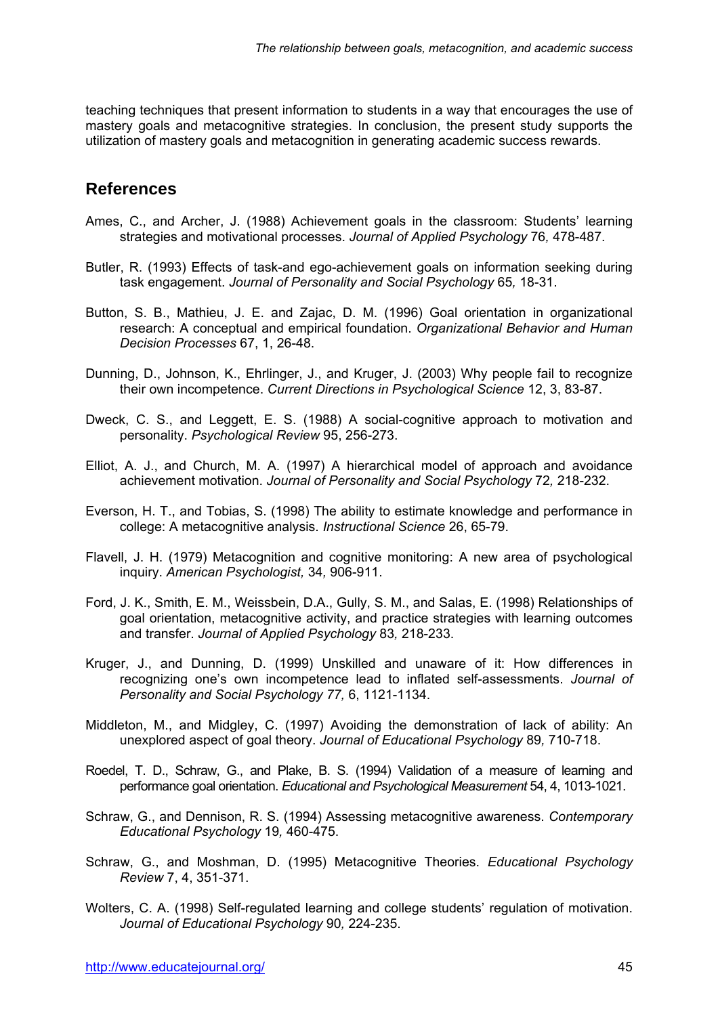teaching techniques that present information to students in a way that encourages the use of mastery goals and metacognitive strategies. In conclusion, the present study supports the utilization of mastery goals and metacognition in generating academic success rewards.

### **References**

- Ames, C., and Archer, J. (1988) Achievement goals in the classroom: Students' learning strategies and motivational processes. *Journal of Applied Psychology* 76*,* 478-487.
- Butler, R. (1993) Effects of task-and ego-achievement goals on information seeking during task engagement. *Journal of Personality and Social Psychology* 65*,* 18-31.
- Button, S. B., Mathieu, J. E. and Zajac, D. M. (1996) Goal orientation in organizational research: A conceptual and empirical foundation. *Organizational Behavior and Human Decision Processes* 67, 1, 26-48.
- Dunning, D., Johnson, K., Ehrlinger, J., and Kruger, J. (2003) Why people fail to recognize their own incompetence. *Current Directions in Psychological Science* 12, 3, 83-87.
- Dweck, C. S., and Leggett, E. S. (1988) A social-cognitive approach to motivation and personality. *Psychological Review* 95, 256-273.
- Elliot, A. J., and Church, M. A. (1997) A hierarchical model of approach and avoidance achievement motivation. *Journal of Personality and Social Psychology* 72*,* 218-232.
- Everson, H. T., and Tobias, S. (1998) The ability to estimate knowledge and performance in college: A metacognitive analysis. *Instructional Science* 26, 65-79.
- Flavell, J. H. (1979) Metacognition and cognitive monitoring: A new area of psychological inquiry. *American Psychologist,* 34*,* 906-911.
- Ford, J. K., Smith, E. M., Weissbein, D.A., Gully, S. M., and Salas, E. (1998) Relationships of goal orientation, metacognitive activity, and practice strategies with learning outcomes and transfer. *Journal of Applied Psychology* 83*,* 218-233.
- Kruger, J., and Dunning, D. (1999) Unskilled and unaware of it: How differences in recognizing one's own incompetence lead to inflated self-assessments. *Journal of Personality and Social Psychology 77,* 6, 1121-1134.
- Middleton, M., and Midgley, C. (1997) Avoiding the demonstration of lack of ability: An unexplored aspect of goal theory. *Journal of Educational Psychology* 89*,* 710-718.
- Roedel, T. D., Schraw, G., and Plake, B. S. (1994) Validation of a measure of learning and performance goal orientation. *Educational and Psychological Measurement* 54, 4, 1013-1021.
- Schraw, G., and Dennison, R. S. (1994) Assessing metacognitive awareness. *Contemporary Educational Psychology* 19*,* 460-475.
- Schraw, G., and Moshman, D. (1995) Metacognitive Theories. *Educational Psychology Review* 7, 4, 351-371.
- Wolters, C. A. (1998) Self-regulated learning and college students' regulation of motivation. *Journal of Educational Psychology* 90*,* 224-235.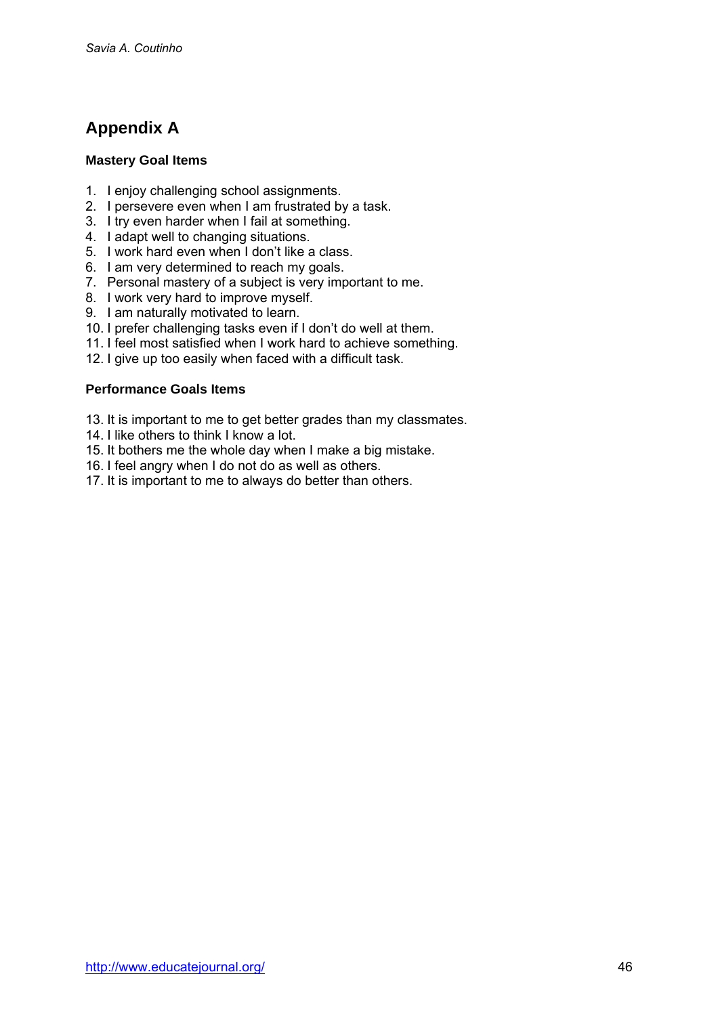# **Appendix A**

#### **Mastery Goal Items**

- 1. I enjoy challenging school assignments.
- 2. I persevere even when I am frustrated by a task.
- 3. I try even harder when I fail at something.
- 4. I adapt well to changing situations.
- 5. I work hard even when I don't like a class.
- 6. I am very determined to reach my goals.
- 7. Personal mastery of a subject is very important to me.
- 8. I work very hard to improve myself.
- 9. I am naturally motivated to learn.
- 10. I prefer challenging tasks even if I don't do well at them.
- 11. I feel most satisfied when I work hard to achieve something.
- 12. I give up too easily when faced with a difficult task.

#### **Performance Goals Items**

- 13. It is important to me to get better grades than my classmates.
- 14. I like others to think I know a lot.
- 15. It bothers me the whole day when I make a big mistake.
- 16. I feel angry when I do not do as well as others.
- 17. It is important to me to always do better than others.